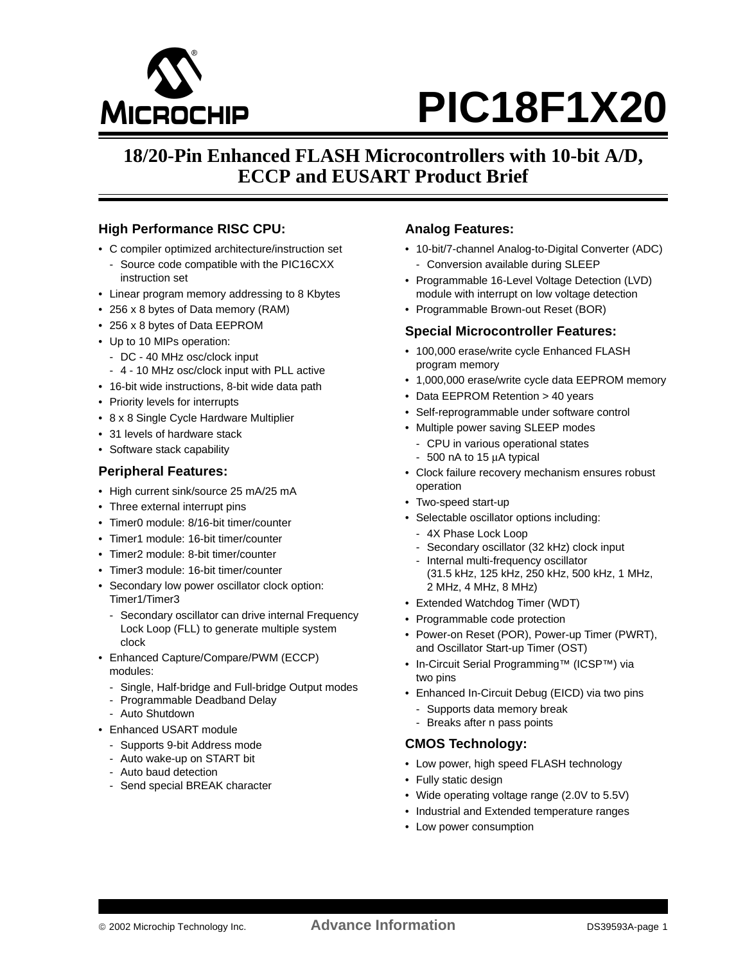

# MICROCHIP
ROOFIE

# **18/20-Pin Enhanced FLASH Microcontrollers with 10-bit A/D, ECCP and EUSART Product Brief**

# **High Performance RISC CPU:**

- C compiler optimized architecture/instruction set
- Source code compatible with the PIC16CXX instruction set
- Linear program memory addressing to 8 Kbytes
- 256 x 8 bytes of Data memory (RAM)
- 256 x 8 bytes of Data EEPROM
- Up to 10 MIPs operation:
	- DC 40 MHz osc/clock input
- 4 10 MHz osc/clock input with PLL active
- 16-bit wide instructions, 8-bit wide data path
- Priority levels for interrupts
- 8 x 8 Single Cycle Hardware Multiplier
- 31 levels of hardware stack
- Software stack capability

# **Peripheral Features:**

- High current sink/source 25 mA/25 mA
- Three external interrupt pins
- Timer0 module: 8/16-bit timer/counter
- Timer1 module: 16-bit timer/counter
- Timer2 module: 8-bit timer/counter
- Timer3 module: 16-bit timer/counter
- Secondary low power oscillator clock option: Timer1/Timer3
	- Secondary oscillator can drive internal Frequency Lock Loop (FLL) to generate multiple system clock
- Enhanced Capture/Compare/PWM (ECCP) modules:
	- Single, Half-bridge and Full-bridge Output modes
	- Programmable Deadband Delay
	- Auto Shutdown
- Enhanced USART module
	- Supports 9-bit Address mode
	- Auto wake-up on START bit
	- Auto baud detection
	- Send special BREAK character

# **Analog Features:**

- 10-bit/7-channel Analog-to-Digital Converter (ADC) - Conversion available during SLEEP
- Programmable 16-Level Voltage Detection (LVD) module with interrupt on low voltage detection
- Programmable Brown-out Reset (BOR)

# **Special Microcontroller Features:**

- 100,000 erase/write cycle Enhanced FLASH program memory
- 1,000,000 erase/write cycle data EEPROM memory
- Data EEPROM Retention > 40 years
- Self-reprogrammable under software control
- Multiple power saving SLEEP modes
	- CPU in various operational states
	- 500 nA to 15 µA typical
- Clock failure recovery mechanism ensures robust operation
- Two-speed start-up
- Selectable oscillator options including:
	- 4X Phase Lock Loop
	- Secondary oscillator (32 kHz) clock input
	- Internal multi-frequency oscillator (31.5 kHz, 125 kHz, 250 kHz, 500 kHz, 1 MHz, 2 MHz, 4 MHz, 8 MHz)
- Extended Watchdog Timer (WDT)
- Programmable code protection
- Power-on Reset (POR), Power-up Timer (PWRT), and Oscillator Start-up Timer (OST)
- In-Circuit Serial Programming™ (ICSP™) via two pins
- Enhanced In-Circuit Debug (EICD) via two pins
	- Supports data memory break
	- Breaks after n pass points

# **CMOS Technology:**

- Low power, high speed FLASH technology
- Fully static design
- Wide operating voltage range (2.0V to 5.5V)
- Industrial and Extended temperature ranges
- Low power consumption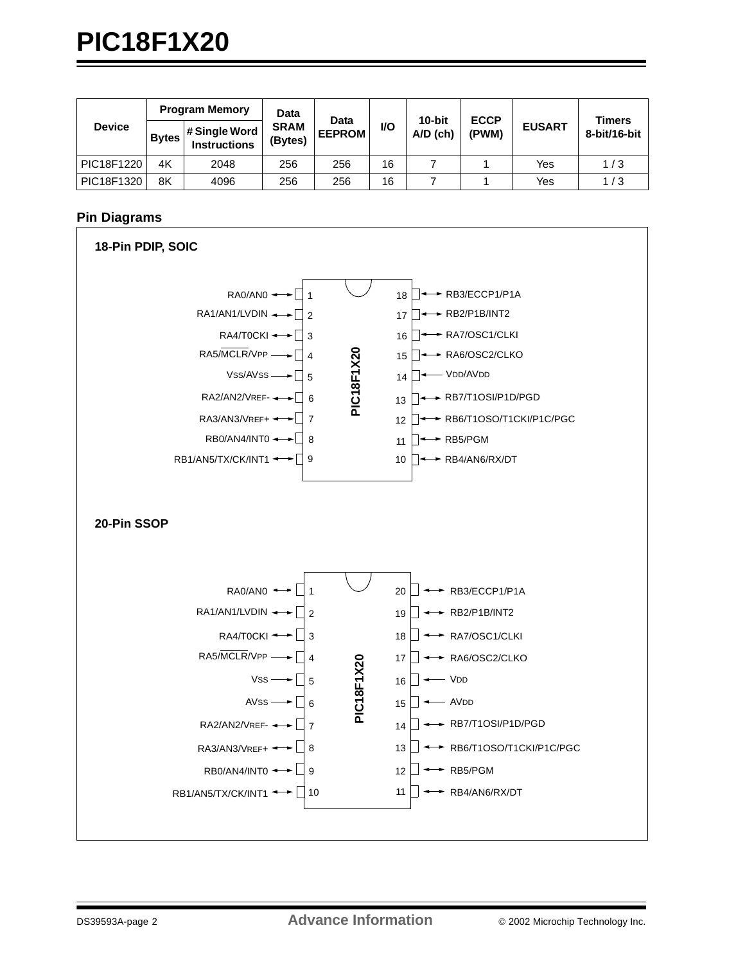| <b>Device</b> | <b>Program Memory</b> |                                      | Data                   | Data          |           | $10$ -bit  | <b>ECCP</b> |               | <b>Timers</b> |
|---------------|-----------------------|--------------------------------------|------------------------|---------------|-----------|------------|-------------|---------------|---------------|
|               | <b>Bytes</b>          | # Single Word<br><b>Instructions</b> | <b>SRAM</b><br>(Bytes) | <b>EEPROM</b> | <b>VO</b> | $A/D$ (ch) | (PWM)       | <b>EUSART</b> | 8-bit/16-bit  |
| PIC18F1220    | 4K                    | 2048                                 | 256                    | 256           | 16        |            |             | Yes           | 1/3           |
| PIC18F1320    | 8K                    | 4096                                 | 256                    | 256           | 16        |            |             | Yes           | 1/3           |

# **Pin Diagrams**

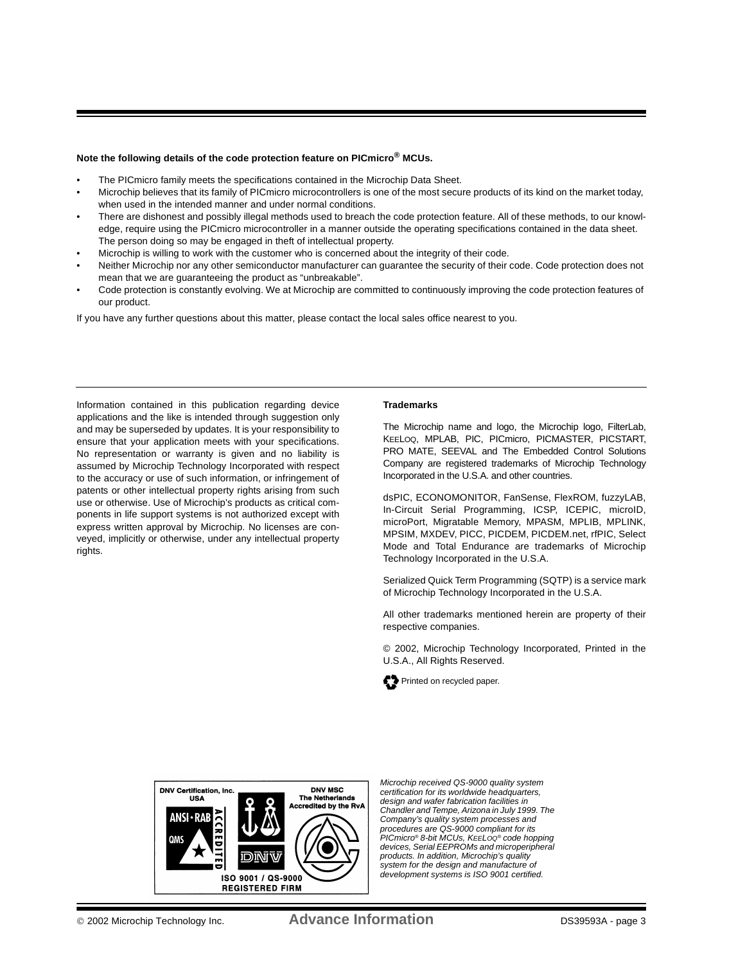#### **Note the following details of the code protection feature on PICmicro® MCUs.**

- The PICmicro family meets the specifications contained in the Microchip Data Sheet.
- Microchip believes that its family of PICmicro microcontrollers is one of the most secure products of its kind on the market today, when used in the intended manner and under normal conditions.
- There are dishonest and possibly illegal methods used to breach the code protection feature. All of these methods, to our knowledge, require using the PICmicro microcontroller in a manner outside the operating specifications contained in the data sheet. The person doing so may be engaged in theft of intellectual property.
- Microchip is willing to work with the customer who is concerned about the integrity of their code.
- Neither Microchip nor any other semiconductor manufacturer can guarantee the security of their code. Code protection does not mean that we are guaranteeing the product as "unbreakable".
- Code protection is constantly evolving. We at Microchip are committed to continuously improving the code protection features of our product.

If you have any further questions about this matter, please contact the local sales office nearest to you.

Information contained in this publication regarding device applications and the like is intended through suggestion only and may be superseded by updates. It is your responsibility to ensure that your application meets with your specifications. No representation or warranty is given and no liability is assumed by Microchip Technology Incorporated with respect to the accuracy or use of such information, or infringement of patents or other intellectual property rights arising from such use or otherwise. Use of Microchip's products as critical components in life support systems is not authorized except with express written approval by Microchip. No licenses are conveyed, implicitly or otherwise, under any intellectual property rights.

#### **Trademarks**

The Microchip name and logo, the Microchip logo, FilterLab, KEELOQ, MPLAB, PIC, PICmicro, PICMASTER, PICSTART, PRO MATE, SEEVAL and The Embedded Control Solutions Company are registered trademarks of Microchip Technology Incorporated in the U.S.A. and other countries.

dsPIC, ECONOMONITOR, FanSense, FlexROM, fuzzyLAB, In-Circuit Serial Programming, ICSP, ICEPIC, microID, microPort, Migratable Memory, MPASM, MPLIB, MPLINK, MPSIM, MXDEV, PICC, PICDEM, PICDEM.net, rfPIC, Select Mode and Total Endurance are trademarks of Microchip Technology Incorporated in the U.S.A.

Serialized Quick Term Programming (SQTP) is a service mark of Microchip Technology Incorporated in the U.S.A.

All other trademarks mentioned herein are property of their respective companies.

© 2002, Microchip Technology Incorporated, Printed in the U.S.A., All Rights Reserved.





*Microchip received QS-9000 quality system certification for its worldwide headquarters, design and wafer fabrication facilities in Chandler and Tempe, Arizona in July 1999. The Company's quality system processes and procedures are QS-9000 compliant for its PICmicro® 8-bit MCUs, KEELOQ® code hopping devices, Serial EEPROMs and microperipheral products. In addition, Microchip's quality system for the design and manufacture of development systems is ISO 9001 certified.*